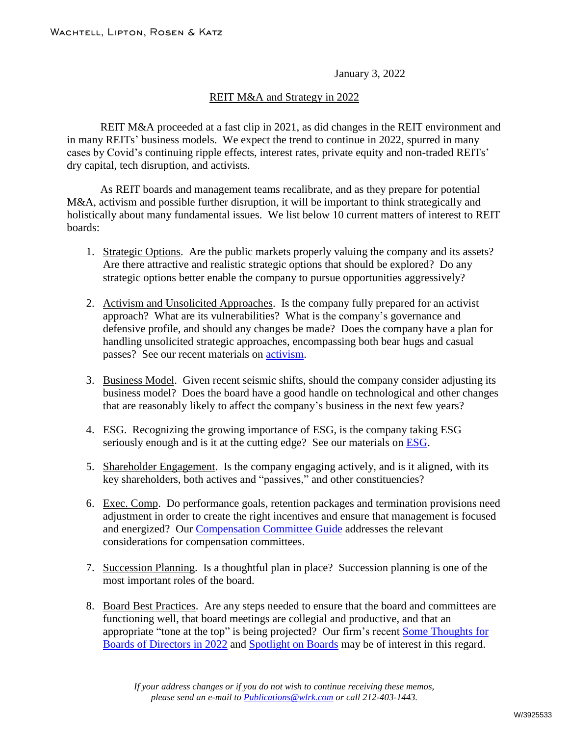January 3, 2022

## REIT M&A and Strategy in 2022

REIT M&A proceeded at a fast clip in 2021, as did changes in the REIT environment and in many REITs' business models. We expect the trend to continue in 2022, spurred in many cases by Covid's continuing ripple effects, interest rates, private equity and non-traded REITs' dry capital, tech disruption, and activists.

As REIT boards and management teams recalibrate, and as they prepare for potential M&A, activism and possible further disruption, it will be important to think strategically and holistically about many fundamental issues. We list below 10 current matters of interest to REIT boards:

- 1. Strategic Options. Are the public markets properly valuing the company and its assets? Are there attractive and realistic strategic options that should be explored? Do any strategic options better enable the company to pursue opportunities aggressively?
- 2. Activism and Unsolicited Approaches. Is the company fully prepared for an activist approach? What are its vulnerabilities? What is the company's governance and defensive profile, and should any changes be made? Does the company have a plan for handling unsolicited strategic approaches, encompassing both bear hugs and casual passes? See our recent materials on activism.
- 3. Business Model. Given recent seismic shifts, should the company consider adjusting its business model? Does the board have a good handle on technological and other changes that are reasonably likely to affect the company's business in the next few years?
- 4. ESG. Recognizing the growing importance of ESG, is the company taking ESG seriously enough and is it at the cutting edge? See our materials on ESG.
- 5. Shareholder Engagement. Is the company engaging actively, and is it aligned, with its key shareholders, both actives and "passives," and other constituencies?
- 6. Exec. Comp. Do performance goals, retention packages and termination provisions need adjustment in order to create the right incentives and ensure that management is focused and energized? Our Compensation Committee Guide addresses the relevant considerations for compensation committees.
- 7. Succession Planning. Is a thoughtful plan in place? Succession planning is one of the most important roles of the board.
- 8. Board Best Practices. Are any steps needed to ensure that the board and committees are functioning well, that board meetings are collegial and productive, and that an appropriate "tone at the top" is being projected? Our firm's recent Some Thoughts for Boards of Directors in 2022 and Spotlight on Boards may be of interest in this regard.

*If your address changes or if you do not wish to continue receiving these memos, please send an e-mail to Publications@wlrk.com or call 212-403-1443.*